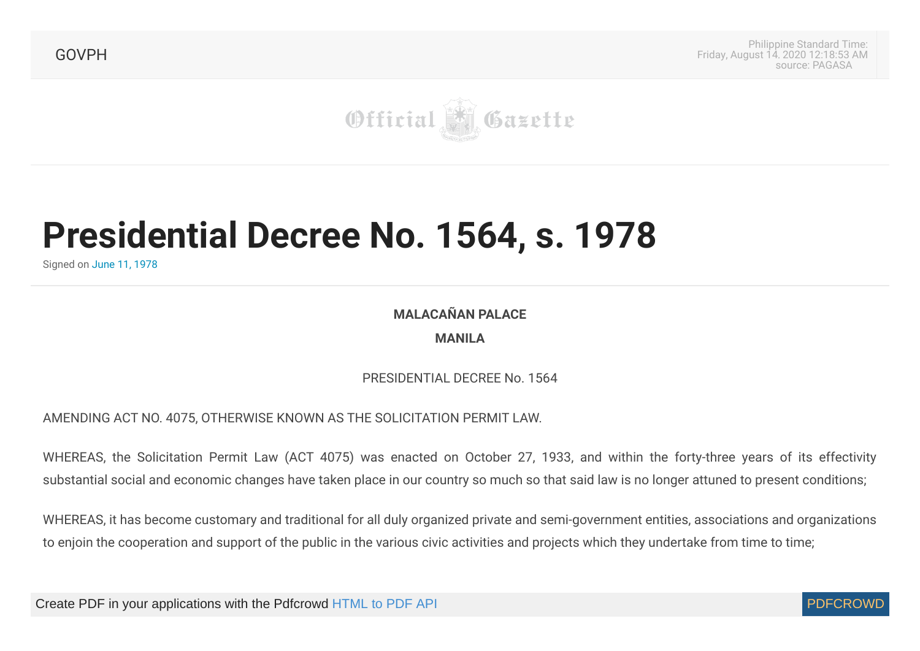[GOVPH](https://www.officialgazette.gov.ph/)

Philippine Standard Time: Friday, August 14, 2020 12:18:53 AM source: [PAGASA](http://web.pagasa.dost.gov.ph/index.php/philippine-standard-time)



## **Presidential Decree No. 1564, s. 1978**

Signed on June 11, [1978](https://www.officialgazette.gov.ph/1978/06/11/presidential-decree-no-1564-s-1978/)

**MALACAÑAN PALACE MANILA**

PRESIDENTIAL DECREE No. 1564

AMENDING ACT NO. 4075, OTHERWISE KNOWN AS THE SOLICITATION PERMIT LAW.

WHEREAS, the Solicitation Permit Law (ACT 4075) was enacted on October 27, 1933, and within the forty-three years of its effectivity substantial social and economic changes have taken place in our country so much so that said law is no longer attuned to present conditions;

WHEREAS, it has become customary and traditional for all duly organized private and semi-government entities, associations and organizations to enjoin the cooperation and support of the public in the various civic activities and projects which they undertake from time to time;

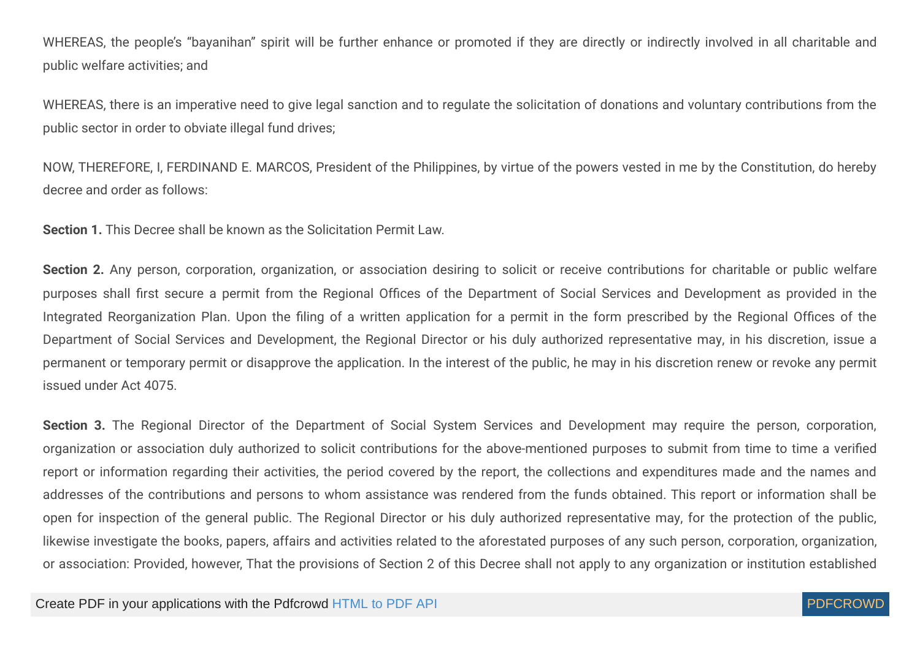WHEREAS, the people's "bayanihan" spirit will be further enhance or promoted if they are directly or indirectly involved in all charitable and public welfare activities; and

WHEREAS, there is an imperative need to give legal sanction and to regulate the solicitation of donations and voluntary contributions from the public sector in order to obviate illegal fund drives;

NOW, THEREFORE, I, FERDINAND E. MARCOS, President of the Philippines, by virtue of the powers vested in me by the Constitution, do hereby decree and order as follows:

**Section 1.** This Decree shall be known as the Solicitation Permit Law.

Section 2. Any person, corporation, organization, or association desiring to solicit or receive contributions for charitable or public welfare purposes shall first secure a permit from the Regional Offices of the Department of Social Services and Development as provided in the Integrated Reorganization Plan. Upon the filing of a written application for a permit in the form prescribed by the Regional Offices of the Department of Social Services and Development, the Regional Director or his duly authorized representative may, in his discretion, issue a permanent or temporary permit or disapprove the application. In the interest of the public, he may in his discretion renew or revoke any permit issued under Act 4075.

Section 3. The Regional Director of the Department of Social System Services and Development may require the person, corporation, organization or association duly authorized to solicit contributions for the above-mentioned purposes to submit from time to time a verified report or information regarding their activities, the period covered by the report, the collections and expenditures made and the names and addresses of the contributions and persons to whom assistance was rendered from the funds obtained. This report or information shall be open for inspection of the general public. The Regional Director or his duly authorized representative may, for the protection of the public, likewise investigate the books, papers, affairs and activities related to the aforestated purposes of any such person, corporation, organization, or association: Provided, however, That the provisions of Section 2 of this Decree shall not apply to any organization or institution established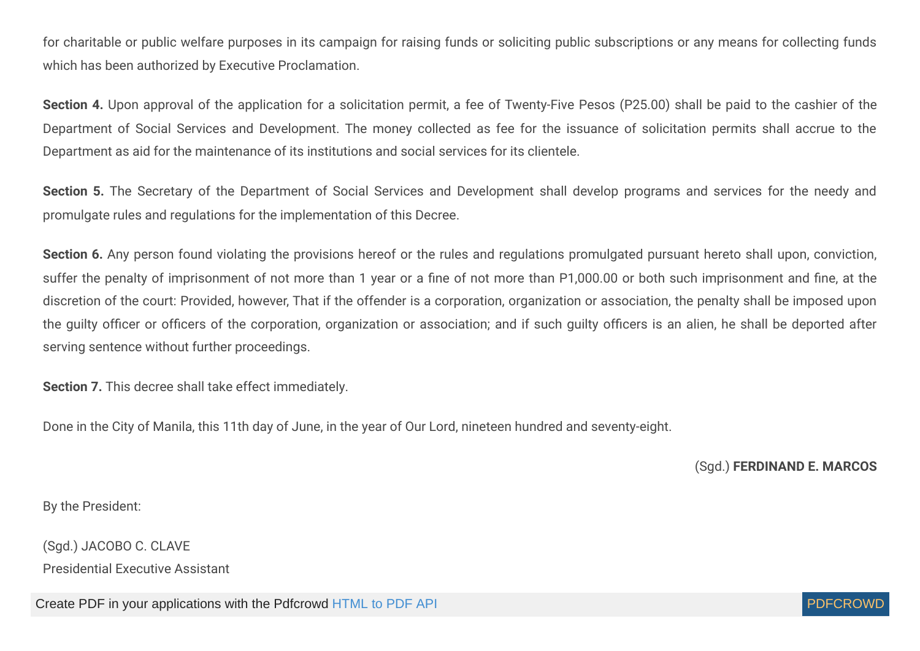for charitable or public welfare purposes in its campaign for raising funds or soliciting public subscriptions or any means for collecting funds which has been authorized by Executive Proclamation.

**Section 4.** Upon approval of the application for a solicitation permit, a fee of Twenty-Five Pesos (P25.00) shall be paid to the cashier of the Department of Social Services and Development. The money collected as fee for the issuance of solicitation permits shall accrue to the Department as aid for the maintenance of its institutions and social services for its clientele.

Section 5. The Secretary of the Department of Social Services and Development shall develop programs and services for the needy and promulgate rules and regulations for the implementation of this Decree.

Section 6. Any person found violating the provisions hereof or the rules and regulations promulgated pursuant hereto shall upon, conviction, suffer the penalty of imprisonment of not more than 1 year or a fine of not more than P1,000.00 or both such imprisonment and fine, at the discretion of the court: Provided, however, That if the offender is a corporation, organization or association, the penalty shall be imposed upon the guilty officer or officers of the corporation, organization or association; and if such guilty officers is an alien, he shall be deported after serving sentence without further proceedings.

**Section 7.** This decree shall take effect immediately.

Done in the City of Manila, this 11th day of June, in the year of Our Lord, nineteen hundred and seventy-eight.

(Sgd.) **FERDINAND E. MARCOS**

By the President:

(Sgd.) JACOBO C. CLAVE

Presidential Executive Assistant

Create PDF in your applications with the Pdfcrowd [HTML to PDF API](https://pdfcrowd.com/doc/api/?ref=pdf) [PDFCROWD](https://pdfcrowd.com/?ref=pdf) AT A RESERVE AND THE POFCROWD BE PUTCHED AT A RESERVE AND THE POST OF A RESERVE AND THE POST OF A RESERVE AND THE POST OF A RESERVE AND THE POST OF